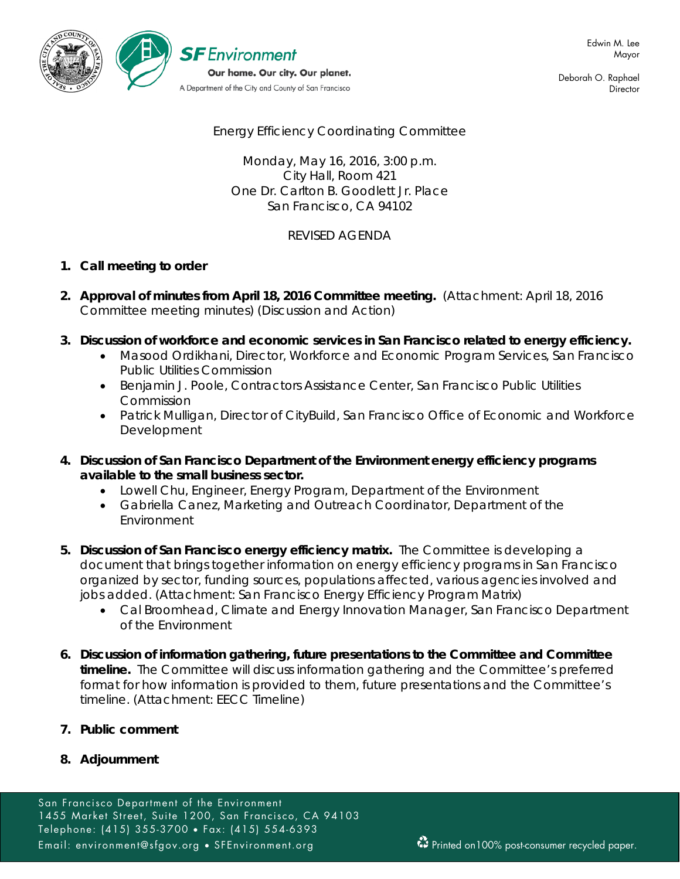

Deborah O. Raphael **Director** 

# Energy Efficiency Coordinating Committee

Monday, May 16, 2016, 3:00 p.m. City Hall, Room 421 One Dr. Carlton B. Goodlett Jr. Place San Francisco, CA 94102

# REVISED AGENDA

## **1. Call meeting to order**

- **2. Approval of minutes from April 18, 2016 Committee meeting.** (Attachment: April 18, 2016 Committee meeting minutes) (Discussion and Action)
- **3. Discussion of workforce and economic services in San Francisco related to energy efficiency.**
	- Masood Ordikhani, Director, Workforce and Economic Program Services, San Francisco Public Utilities Commission
	- Benjamin J. Poole, Contractors Assistance Center, San Francisco Public Utilities Commission
	- Patrick Mulligan, Director of CityBuild, San Francisco Office of Economic and Workforce Development
- **4. Discussion of San Francisco Department of the Environment energy efficiency programs available to the small business sector.**
	- Lowell Chu, Engineer, Energy Program, Department of the Environment
	- Gabriella Canez, Marketing and Outreach Coordinator, Department of the Environment
- **5. Discussion of San Francisco energy efficiency matrix.** The Committee is developing a document that brings together information on energy efficiency programs in San Francisco organized by sector, funding sources, populations affected, various agencies involved and jobs added. (Attachment: San Francisco Energy Efficiency Program Matrix)
	- Cal Broomhead, Climate and Energy Innovation Manager, San Francisco Department of the Environment
- **6. Discussion of information gathering, future presentations to the Committee and Committee timeline.** The Committee will discuss information gathering and the Committee's preferred format for how information is provided to them, future presentations and the Committee's timeline. (Attachment: EECC Timeline)
- **7. Public comment**
- **8. Adjournment**

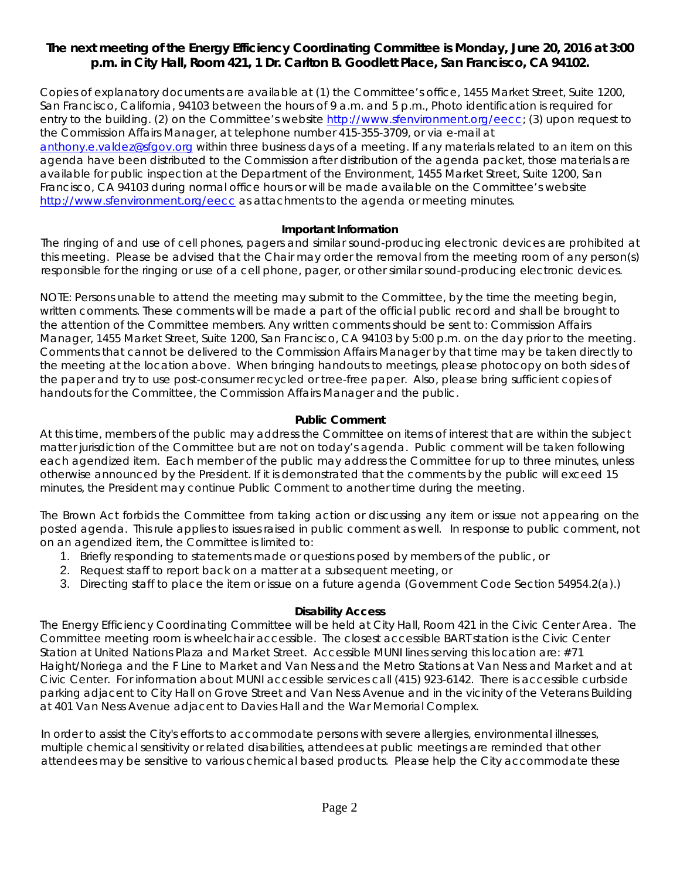# *The next meeting of the Energy Efficiency Coordinating Committee is Monday, June 20, 2016 at 3:00 p.m. in City Hall, Room 421, 1 Dr. Carlton B. Goodlett Place, San Francisco, CA 94102.*

Copies of explanatory documents are available at (1) the Committee's office, 1455 Market Street, Suite 1200, San Francisco, California, 94103 between the hours of 9 a.m. and 5 p.m., Photo identification is required for entry to the building. (2) on the Committee's website http://www.sfenvironment.org/eecc; (3) upon request to the Commission Affairs Manager, at telephone number 415-355-3709, or via e-mail at [anthony.e.valdez@sfgov.org](mailto:anthony.e.valdez@sfgov.org) within three business days of a meeting. If any materials related to an item on this agenda have been distributed to the Commission after distribution of the agenda packet, those materials are available for public inspection at the Department of the Environment, 1455 Market Street, Suite 1200, San Francisco, CA 94103 during normal office hours or will be made available on the Committee's website <http://www.sfenvironment.org/eecc> as attachments to the agenda or meeting minutes.

### **Important Information**

The ringing of and use of cell phones, pagers and similar sound-producing electronic devices are prohibited at this meeting. Please be advised that the Chair may order the removal from the meeting room of any person(s) responsible for the ringing or use of a cell phone, pager, or other similar sound-producing electronic devices.

NOTE: Persons unable to attend the meeting may submit to the Committee, by the time the meeting begin, written comments. These comments will be made a part of the official public record and shall be brought to the attention of the Committee members. Any written comments should be sent to: Commission Affairs Manager, 1455 Market Street, Suite 1200, San Francisco, CA 94103 by 5:00 p.m. on the day prior to the meeting. Comments that cannot be delivered to the Commission Affairs Manager by that time may be taken directly to the meeting at the location above. When bringing handouts to meetings, please photocopy on both sides of the paper and try to use post-consumer recycled or tree-free paper. Also, please bring sufficient copies of handouts for the Committee, the Commission Affairs Manager and the public.

### **Public Comment**

At this time, members of the public may address the Committee on items of interest that are within the subject matter jurisdiction of the Committee but are not on today's agenda. Public comment will be taken following each agendized item. Each member of the public may address the Committee for up to three minutes, unless otherwise announced by the President. If it is demonstrated that the comments by the public will exceed 15 minutes, the President may continue Public Comment to another time during the meeting.

The Brown Act forbids the Committee from taking action or discussing any item or issue not appearing on the posted agenda. This rule applies to issues raised in public comment as well. In response to public comment, not on an agendized item, the Committee is limited to:

- 1. Briefly responding to statements made or questions posed by members of the public, or
- 2. Request staff to report back on a matter at a subsequent meeting, or
- 3. Directing staff to place the item or issue on a future agenda (Government Code Section 54954.2(a).)

### **Disability Access**

The Energy Efficiency Coordinating Committee will be held at City Hall, Room 421 in the Civic Center Area. The Committee meeting room is wheelchair accessible. The closest accessible BART station is the Civic Center Station at United Nations Plaza and Market Street. Accessible MUNI lines serving this location are: #71 Haight/Noriega and the F Line to Market and Van Ness and the Metro Stations at Van Ness and Market and at Civic Center. For information about MUNI accessible services call (415) 923-6142. There is accessible curbside parking adjacent to City Hall on Grove Street and Van Ness Avenue and in the vicinity of the Veterans Building at 401 Van Ness Avenue adjacent to Davies Hall and the War Memorial Complex.

In order to assist the City's efforts to accommodate persons with severe allergies, environmental illnesses, multiple chemical sensitivity or related disabilities, attendees at public meetings are reminded that other attendees may be sensitive to various chemical based products. Please help the City accommodate these